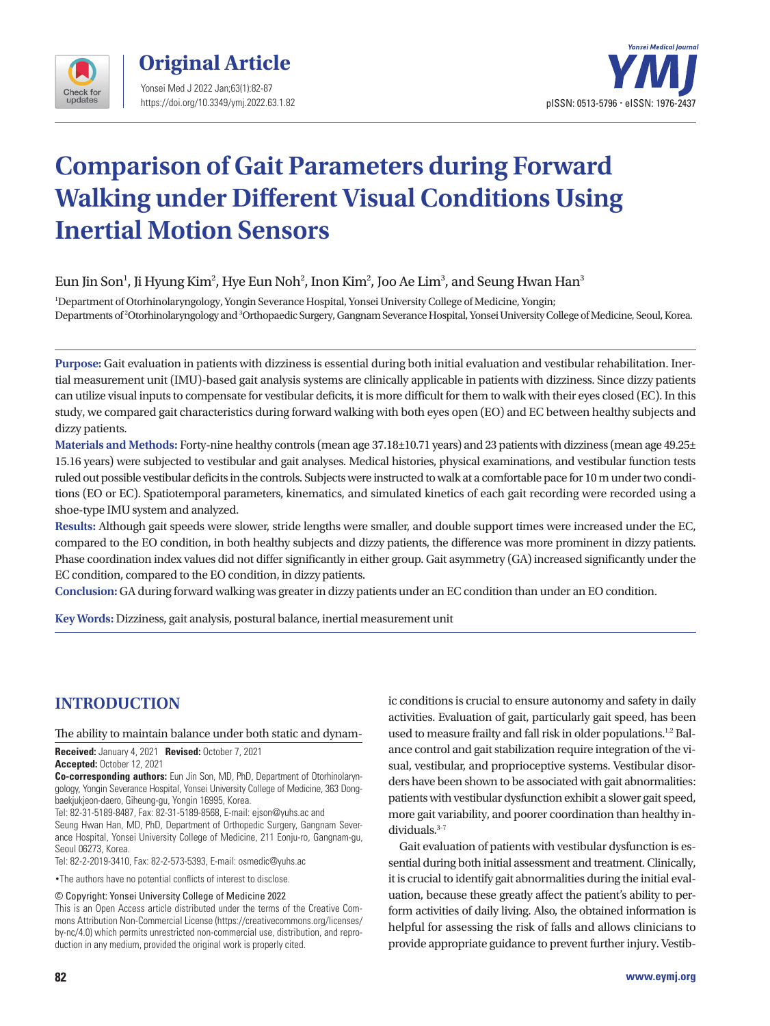



# **Comparison of Gait Parameters during Forward Walking under Different Visual Conditions Using Inertial Motion Sensors**

## Eun Jin Son $^{\rm l}$ , Ji Hyung Kim $^{\rm 2}$ , Hye Eun Noh $^{\rm 2}$ , Inon Kim $^{\rm 2}$ , Joo Ae Lim $^{\rm 3}$ , and Seung Hwan Han $^{\rm 3}$

1 Department of Otorhinolaryngology, Yongin Severance Hospital, Yonsei University College of Medicine, Yongin; Departments of 2 Otorhinolaryngology and 3 Orthopaedic Surgery, Gangnam Severance Hospital, Yonsei University College of Medicine, Seoul, Korea.

**Purpose:** Gait evaluation in patients with dizziness is essential during both initial evaluation and vestibular rehabilitation. Inertial measurement unit (IMU)-based gait analysis systems are clinically applicable in patients with dizziness. Since dizzy patients can utilize visual inputs to compensate for vestibular deficits, it is more difficult for them to walk with their eyes closed (EC). In this study, we compared gait characteristics during forward walking with both eyes open (EO) and EC between healthy subjects and dizzy patients.

**Materials and Methods:** Forty-nine healthy controls (mean age 37.18±10.71 years) and 23 patients with dizziness (mean age 49.25± 15.16 years) were subjected to vestibular and gait analyses. Medical histories, physical examinations, and vestibular function tests ruled out possible vestibular deficits in the controls. Subjects were instructed to walk at a comfortable pace for 10 m under two conditions (EO or EC). Spatiotemporal parameters, kinematics, and simulated kinetics of each gait recording were recorded using a shoe-type IMU system and analyzed.

**Results:** Although gait speeds were slower, stride lengths were smaller, and double support times were increased under the EC, compared to the EO condition, in both healthy subjects and dizzy patients, the difference was more prominent in dizzy patients. Phase coordination index values did not differ significantly in either group. Gait asymmetry (GA) increased significantly under the EC condition, compared to the EO condition, in dizzy patients.

**Conclusion:** GA during forward walking was greater in dizzy patients under an EC condition than under an EO condition.

**Key Words:** Dizziness, gait analysis, postural balance, inertial measurement unit

## **INTRODUCTION**

#### The ability to maintain balance under both static and dynam-

**Received:** January 4, 2021 **Revised:** October 7, 2021 **Accepted:** October 12, 2021

**Co-corresponding authors:** Eun Jin Son, MD, PhD, Department of Otorhinolaryngology, Yongin Severance Hospital, Yonsei University College of Medicine, 363 Dongbaekjukjeon-daero, Giheung-gu, Yongin 16995, Korea.

Tel: 82-31-5189-8487, Fax: 82-31-5189-8568, E-mail: ejson@yuhs.ac and Seung Hwan Han, MD, PhD, Department of Orthopedic Surgery, Gangnam Severance Hospital, Yonsei University College of Medicine, 211 Eonju-ro, Gangnam-gu, Seoul 06273, Korea.

Tel: 82-2-2019-3410, Fax: 82-2-573-5393, E-mail: osmedic@yuhs.ac

•The authors have no potential conflicts of interest to disclose.

© Copyright: Yonsei University College of Medicine 2022

This is an Open Access article distributed under the terms of the Creative Commons Attribution Non-Commercial License (https://creativecommons.org/licenses/ by-nc/4.0) which permits unrestricted non-commercial use, distribution, and reproduction in any medium, provided the original work is properly cited.

ic conditions is crucial to ensure autonomy and safety in daily activities. Evaluation of gait, particularly gait speed, has been used to measure frailty and fall risk in older populations.<sup>1,2</sup> Balance control and gait stabilization require integration of the visual, vestibular, and proprioceptive systems. Vestibular disorders have been shown to be associated with gait abnormalities: patients with vestibular dysfunction exhibit a slower gait speed, more gait variability, and poorer coordination than healthy individuals.<sup>3-7</sup>

Gait evaluation of patients with vestibular dysfunction is essential during both initial assessment and treatment. Clinically, it is crucial to identify gait abnormalities during the initial evaluation, because these greatly affect the patient's ability to perform activities of daily living. Also, the obtained information is helpful for assessing the risk of falls and allows clinicians to provide appropriate guidance to prevent further injury. Vestib-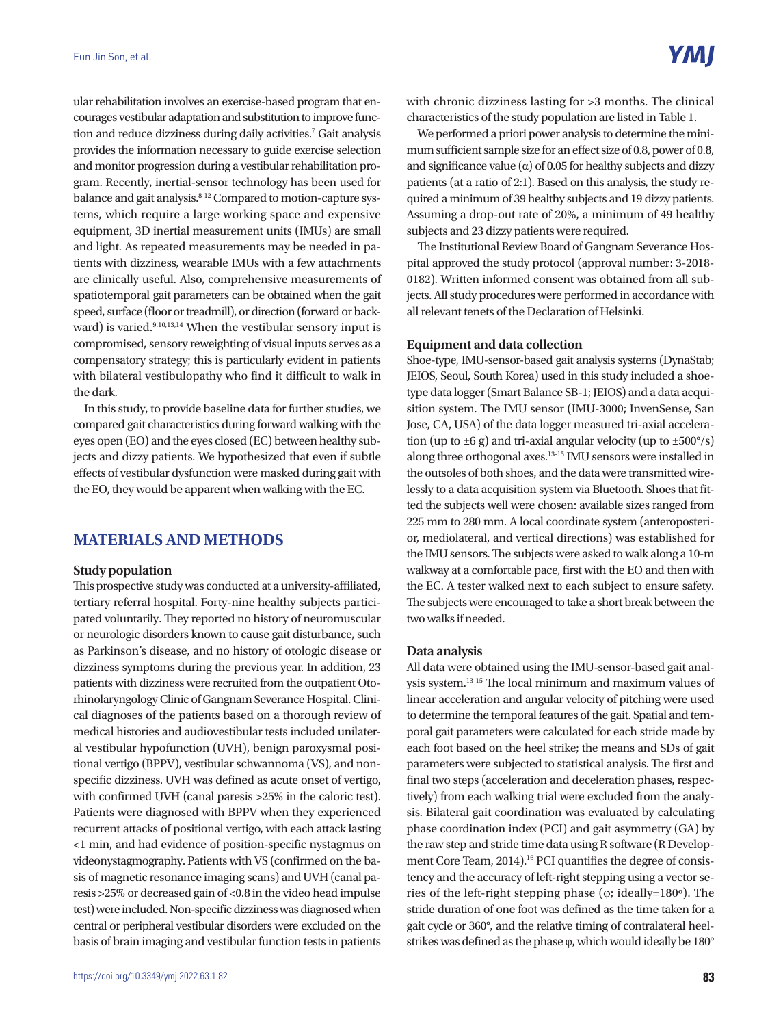ular rehabilitation involves an exercise-based program that encourages vestibular adaptation and substitution to improve function and reduce dizziness during daily activities.<sup>7</sup> Gait analysis provides the information necessary to guide exercise selection and monitor progression during a vestibular rehabilitation program. Recently, inertial-sensor technology has been used for balance and gait analysis.<sup>8-12</sup> Compared to motion-capture systems, which require a large working space and expensive equipment, 3D inertial measurement units (IMUs) are small and light. As repeated measurements may be needed in patients with dizziness, wearable IMUs with a few attachments are clinically useful. Also, comprehensive measurements of spatiotemporal gait parameters can be obtained when the gait speed, surface (floor or treadmill), or direction (forward or backward) is varied.<sup>9,10,13,14</sup> When the vestibular sensory input is compromised, sensory reweighting of visual inputs serves as a compensatory strategy; this is particularly evident in patients with bilateral vestibulopathy who find it difficult to walk in the dark.

In this study, to provide baseline data for further studies, we compared gait characteristics during forward walking with the eyes open (EO) and the eyes closed (EC) between healthy subjects and dizzy patients. We hypothesized that even if subtle effects of vestibular dysfunction were masked during gait with the EO, they would be apparent when walking with the EC.

## **MATERIALS AND METHODS**

#### **Study population**

This prospective study was conducted at a university-affiliated, tertiary referral hospital. Forty-nine healthy subjects participated voluntarily. They reported no history of neuromuscular or neurologic disorders known to cause gait disturbance, such as Parkinson's disease, and no history of otologic disease or dizziness symptoms during the previous year. In addition, 23 patients with dizziness were recruited from the outpatient Otorhinolaryngology Clinic of Gangnam Severance Hospital. Clinical diagnoses of the patients based on a thorough review of medical histories and audiovestibular tests included unilateral vestibular hypofunction (UVH), benign paroxysmal positional vertigo (BPPV), vestibular schwannoma (VS), and nonspecific dizziness. UVH was defined as acute onset of vertigo, with confirmed UVH (canal paresis >25% in the caloric test). Patients were diagnosed with BPPV when they experienced recurrent attacks of positional vertigo, with each attack lasting <1 min, and had evidence of position-specific nystagmus on videonystagmography. Patients with VS (confirmed on the basis of magnetic resonance imaging scans) and UVH (canal paresis >25% or decreased gain of <0.8 in the video head impulse test) were included. Non-specific dizziness was diagnosed when central or peripheral vestibular disorders were excluded on the basis of brain imaging and vestibular function tests in patients with chronic dizziness lasting for >3 months. The clinical characteristics of the study population are listed in Table 1.

We performed a priori power analysis to determine the minimum sufficient sample size for an effect size of 0.8, power of 0.8, and significance value ( $\alpha$ ) of 0.05 for healthy subjects and dizzy patients (at a ratio of 2:1). Based on this analysis, the study required a minimum of 39 healthy subjects and 19 dizzy patients. Assuming a drop-out rate of 20%, a minimum of 49 healthy subjects and 23 dizzy patients were required.

The Institutional Review Board of Gangnam Severance Hospital approved the study protocol (approval number: 3-2018- 0182). Written informed consent was obtained from all subjects. All study procedures were performed in accordance with all relevant tenets of the Declaration of Helsinki.

#### **Equipment and data collection**

Shoe-type, IMU-sensor-based gait analysis systems (DynaStab; JEIOS, Seoul, South Korea) used in this study included a shoetype data logger (Smart Balance SB-1; JEIOS) and a data acquisition system. The IMU sensor (IMU-3000; InvenSense, San Jose, CA, USA) of the data logger measured tri-axial acceleration (up to  $\pm 6$  g) and tri-axial angular velocity (up to  $\pm 500^{\circ}/s$ ) along three orthogonal axes.13-15 IMU sensors were installed in the outsoles of both shoes, and the data were transmitted wirelessly to a data acquisition system via Bluetooth. Shoes that fitted the subjects well were chosen: available sizes ranged from 225 mm to 280 mm. A local coordinate system (anteroposterior, mediolateral, and vertical directions) was established for the IMU sensors. The subjects were asked to walk along a 10-m walkway at a comfortable pace, first with the EO and then with the EC. A tester walked next to each subject to ensure safety. The subjects were encouraged to take a short break between the two walks if needed.

#### **Data analysis**

All data were obtained using the IMU-sensor-based gait analysis system.13-15 The local minimum and maximum values of linear acceleration and angular velocity of pitching were used to determine the temporal features of the gait. Spatial and temporal gait parameters were calculated for each stride made by each foot based on the heel strike; the means and SDs of gait parameters were subjected to statistical analysis. The first and final two steps (acceleration and deceleration phases, respectively) from each walking trial were excluded from the analysis. Bilateral gait coordination was evaluated by calculating phase coordination index (PCI) and gait asymmetry (GA) by the raw step and stride time data using R software (R Development Core Team, 2014).<sup>16</sup> PCI quantifies the degree of consistency and the accuracy of left-right stepping using a vector series of the left-right stepping phase (φ; ideally=180º). The stride duration of one foot was defined as the time taken for a gait cycle or 360°, and the relative timing of contralateral heelstrikes was defined as the phase φ, which would ideally be 180°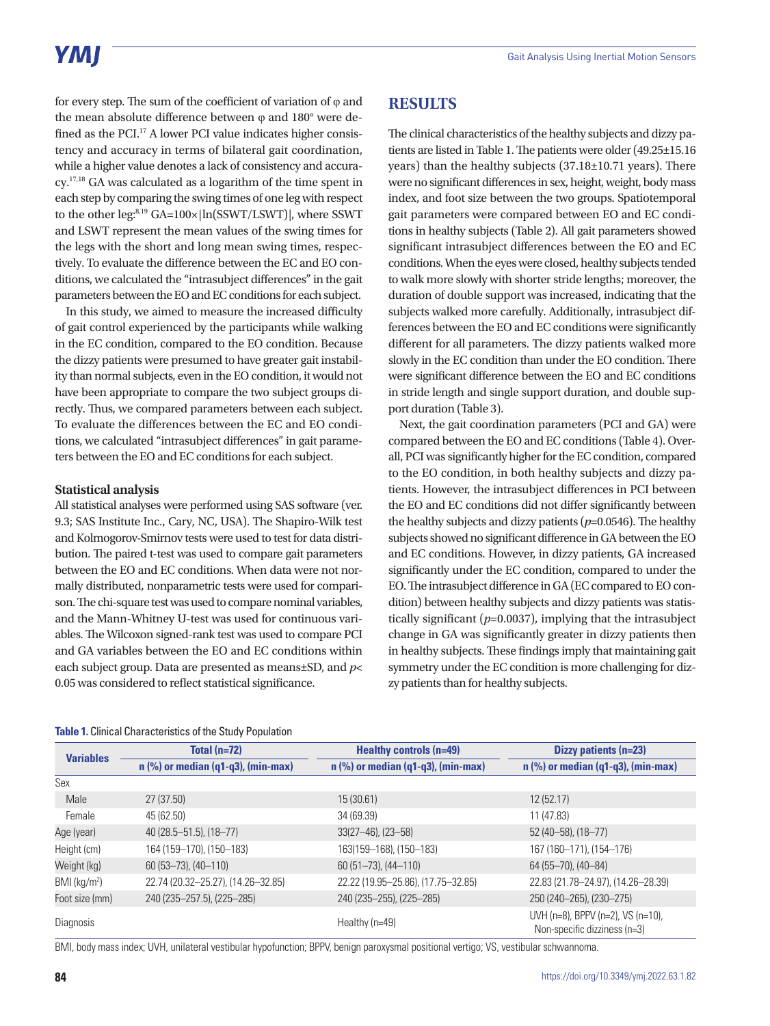for every step. The sum of the coefficient of variation of  $\varphi$  and the mean absolute difference between φ and 180° were defined as the PCI.17 A lower PCI value indicates higher consistency and accuracy in terms of bilateral gait coordination, while a higher value denotes a lack of consistency and accuracy.17,18 GA was calculated as a logarithm of the time spent in each step by comparing the swing times of one leg with respect to the other leg:<sup>8,19</sup> GA=100× | ln(SSWT/LSWT)|, where SSWT and LSWT represent the mean values of the swing times for the legs with the short and long mean swing times, respectively. To evaluate the difference between the EC and EO conditions, we calculated the "intrasubject differences" in the gait parameters between the EO and EC conditions for each subject.

In this study, we aimed to measure the increased difficulty of gait control experienced by the participants while walking in the EC condition, compared to the EO condition. Because the dizzy patients were presumed to have greater gait instability than normal subjects, even in the EO condition, it would not have been appropriate to compare the two subject groups directly. Thus, we compared parameters between each subject. To evaluate the differences between the EC and EO conditions, we calculated "intrasubject differences" in gait parameters between the EO and EC conditions for each subject.

#### **Statistical analysis**

All statistical analyses were performed using SAS software (ver. 9.3; SAS Institute Inc., Cary, NC, USA). The Shapiro-Wilk test and Kolmogorov-Smirnov tests were used to test for data distribution. The paired t-test was used to compare gait parameters between the EO and EC conditions. When data were not normally distributed, nonparametric tests were used for comparison. The chi-square test was used to compare nominal variables, and the Mann-Whitney U-test was used for continuous variables. The Wilcoxon signed-rank test was used to compare PCI and GA variables between the EO and EC conditions within each subject group. Data are presented as means±SD, and *p*< 0.05 was considered to reflect statistical significance.

#### **RESULTS**

The clinical characteristics of the healthy subjects and dizzy patients are listed in Table 1. The patients were older (49.25±15.16 years) than the healthy subjects (37.18±10.71 years). There were no significant differences in sex, height, weight, body mass index, and foot size between the two groups. Spatiotemporal gait parameters were compared between EO and EC conditions in healthy subjects (Table 2). All gait parameters showed significant intrasubject differences between the EO and EC conditions. When the eyes were closed, healthy subjects tended to walk more slowly with shorter stride lengths; moreover, the duration of double support was increased, indicating that the subjects walked more carefully. Additionally, intrasubject differences between the EO and EC conditions were significantly different for all parameters. The dizzy patients walked more slowly in the EC condition than under the EO condition. There were significant difference between the EO and EC conditions in stride length and single support duration, and double support duration (Table 3).

Next, the gait coordination parameters (PCI and GA) were compared between the EO and EC conditions (Table 4). Overall, PCI was significantly higher for the EC condition, compared to the EO condition, in both healthy subjects and dizzy patients. However, the intrasubject differences in PCI between the EO and EC conditions did not differ significantly between the healthy subjects and dizzy patients (*p*=0.0546). The healthy subjects showed no significant difference in GA between the EO and EC conditions. However, in dizzy patients, GA increased significantly under the EC condition, compared to under the EO. The intrasubject difference in GA (EC compared to EO condition) between healthy subjects and dizzy patients was statistically significant (*p*=0.0037), implying that the intrasubject change in GA was significantly greater in dizzy patients then in healthy subjects. These findings imply that maintaining gait symmetry under the EC condition is more challenging for dizzy patients than for healthy subjects.

|                            | Total $(n=72)$                       | <b>Healthy controls (n=49)</b>       | Dizzy patients (n=23)<br>$n$ (%) or median (q1-q3), (min-max)     |  |
|----------------------------|--------------------------------------|--------------------------------------|-------------------------------------------------------------------|--|
| <b>Variables</b>           | $n$ (%) or median (q1-q3), (min-max) | $n$ (%) or median (q1-q3), (min-max) |                                                                   |  |
| Sex                        |                                      |                                      |                                                                   |  |
| Male                       | 27 (37.50)                           | 15(30.61)                            | 12(52.17)                                                         |  |
| Female                     | 45 (62.50)                           | 34 (69.39)                           | 11 (47.83)                                                        |  |
| Age (year)                 | $40(28.5 - 51.5)$ , $(18 - 77)$      | $33(27-46)$ , $(23-58)$              | 52 (40-58), (18-77)                                               |  |
| Height (cm)                | 164 (159-170), (150-183)             | 163(159-168), (150-183)              | 167 (160-171), (154-176)                                          |  |
| Weight (kg)                | $60(53 - 73)$ , $(40 - 110)$         | $60(51-73)$ , $(44-110)$             | 64 (55-70), (40-84)                                               |  |
| $BMl$ (kg/m <sup>2</sup> ) | 22.74 (20.32-25.27), (14.26-32.85)   | 22.22 (19.95-25.86), (17.75-32.85)   | 22.83 (21.78-24.97), (14.26-28.39)                                |  |
| Foot size (mm)             | 240 (235-257.5), (225-285)           | 240 (235–255), (225–285)             | 250 (240-265), (230-275)                                          |  |
| Diagnosis                  |                                      | Healthy $(n=49)$                     | UVH (n=8), BPPV (n=2), VS (n=10),<br>Non-specific dizziness (n=3) |  |

#### **Table 1.** Clinical Characteristics of the Study Population

BMI, body mass index; UVH, unilateral vestibular hypofunction; BPPV, benign paroxysmal positional vertigo; VS, vestibular schwannoma.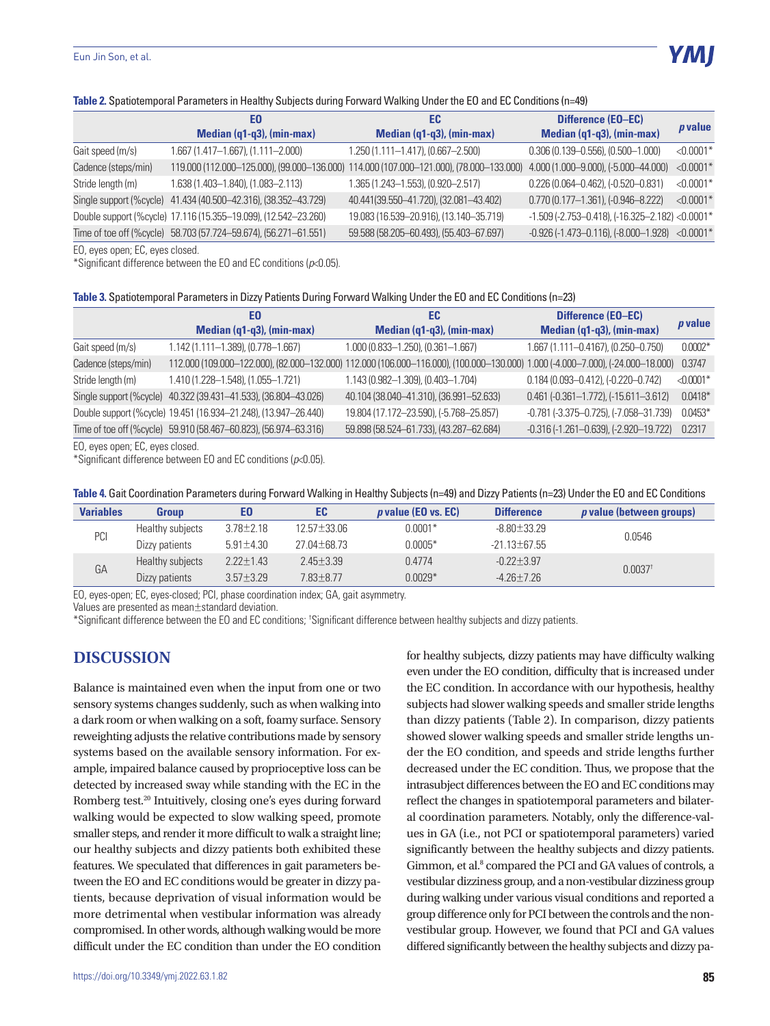#### **Table 2.** Spatiotemporal Parameters in Healthy Subjects during Forward Walking Under the EO and EC Conditions (n=49)

|                       | EO                                                               | EC                                                                                      | Difference (EO-EC)                                |                |
|-----------------------|------------------------------------------------------------------|-----------------------------------------------------------------------------------------|---------------------------------------------------|----------------|
|                       | Median (q1-q3), (min-max)                                        | Median (q1-q3), (min-max)                                                               | Median (q1-q3), (min-max)                         | <i>p</i> value |
| Gait speed (m/s)      | 1.667 (1.417-1.667), (1.111-2.000)                               | 1.250 (1.111-1.417), (0.667-2.500)                                                      | $0.306(0.139 - 0.556)$ , $(0.500 - 1.000)$        | $< 0.0001*$    |
| Cadence (steps/min)   |                                                                  | 119.000 (112.000-125.000), (99.000-136.000) 114.000 (107.000-121.000), (78.000-133.000) | 4.000 (1.000-9.000), (-5.000-44.000)              | $< 0.0001*$    |
| Stride length (m)     | 1.638 (1.403-1.840), (1.083-2.113)                               | 1.365 (1.243-1.553), (0.920-2.517)                                                      | $0.226(0.064 - 0.462)$ , $(-0.520 - 0.831)$       | $< 0.0001*$    |
|                       | Single support (%cycle) 41.434 (40.500-42.316), (38.352-43.729)  | 40.441(39.550-41.720), (32.081-43.402)                                                  | $0.770(0.177 - 1.361)$ , (-0.946-8.222)           | $< 0.0001*$    |
|                       | Double support (%cycle) 17.116 (15.355-19.099), (12.542-23.260)  | 19.083 (16.539-20.916), (13.140-35.719)                                                 | $-1.509$ (-2.753-0.418), (-16.325-2.182) <0.0001* |                |
|                       | Time of toe off (%cycle) 58.703 (57.724-59.674), (56.271-61.551) | 59.588 (58.205-60.493), (55.403-67.697)                                                 | $-0.926$ (-1.473-0.116), (-8.000-1.928) <0.0001*  |                |
| $\Gamma$ <sup>2</sup> |                                                                  |                                                                                         |                                                   |                |

EO, eyes open; EC, eyes closed.

\*Significant difference between the EO and EC conditions (*p*<0.05).

#### **Table 3.** Spatiotemporal Parameters in Dizzy Patients During Forward Walking Under the EO and EC Conditions (n=23)

|                     | EO                                                               | EC                                                                                                                              | <b>Difference (EO-EC)</b>                            |                |
|---------------------|------------------------------------------------------------------|---------------------------------------------------------------------------------------------------------------------------------|------------------------------------------------------|----------------|
|                     | Median (q1-q3), (min-max)                                        | Median (q1-q3), (min-max)                                                                                                       | Median (q1-q3), (min-max)                            | <i>p</i> value |
| Gait speed (m/s)    | $1.142(1.111 - 1.389), (0.778 - 1.667)$                          | $1.000(0.833 - 1.250)$ , $(0.361 - 1.667)$                                                                                      | 1.667 (1.111-0.4167), (0.250-0.750)                  | $0.0002*$      |
| Cadence (steps/min) |                                                                  | 112.000 (109.000-122.000), (82.000-132.000) 112.000 (106.000-116.000), (100.000-130.000) 1.000 (-4.000-7.000), (-24.000-18.000) |                                                      | 0.3747         |
| Stride length (m)   | 1.410 (1.228-1.548), (1.055-1.721)                               | 1.143 (0.982-1.309), (0.403-1.704)                                                                                              | $0.184(0.093 - 0.412)$ , $(-0.220 - 0.742)$          | $< 0.0001*$    |
|                     | Single support (%cycle) 40.322 (39.431-41.533), (36.804-43.026)  | 40.104 (38.040-41.310), (36.991-52.633)                                                                                         | $0.461$ (-0.361-1.772), (-15.611-3.612)              | $0.0418*$      |
|                     | Double support (%cycle) 19.451 (16.934-21.248), (13.947-26.440)  | 19.804 (17.172-23.590), (-5.768-25.857)                                                                                         | $-0.781$ ( $-3.375 - 0.725$ ), ( $-7.058 - 31.739$ ) | $0.0453*$      |
|                     | Time of toe off (%cycle) 59.910 (58.467-60.823), (56.974-63.316) | 59.898 (58.524-61.733), (43.287-62.684)                                                                                         | $-0.316(-1.261 - 0.639)$ , $(-2.920 - 19.722)$       | 0.2317         |
|                     |                                                                  |                                                                                                                                 |                                                      |                |

EO, eyes open; EC, eyes closed.

\*Significant difference between EO and EC conditions (*p*<0.05).

| Table 4. Gait Coordination Parameters during Forward Walking in Healthy Subjects (n=49) and Dizzy Patients (n=23) Under the EO and EC Conditions |  |
|--------------------------------------------------------------------------------------------------------------------------------------------------|--|
|--------------------------------------------------------------------------------------------------------------------------------------------------|--|

| <b>Variables</b> | Group            | EΟ              | EC                | $p$ value (EO vs. EC) | <b>Difference</b> | <i>p</i> value (between groups) |
|------------------|------------------|-----------------|-------------------|-----------------------|-------------------|---------------------------------|
| PCI              | Healthy subjects | $3.78 \pm 2.18$ | $12.57 \pm 33.06$ | $0.0001*$             | $-8.80 \pm 33.29$ | 0.0546                          |
|                  | Dizzy patients   | $5.91 \pm 4.30$ | $27.04 + 68.73$   | $0.0005*$             | $-21.13 + 67.55$  |                                 |
| GA               | Healthy subjects | $2.22 + 1.43$   | $2.45 + 3.39$     | 0.4774                | $-0.22 + 3.97$    | $0.0037$ <sup>t</sup>           |
|                  | Dizzy patients   | $3.57 + 3.29$   | $7.83 + 8.77$     | $0.0029*$             | $-4.26 + 7.26$    |                                 |

EO, eyes-open; EC, eyes-closed; PCI, phase coordination index; GA, gait asymmetry.

Values are presented as mean±standard deviation.

\*Significant difference between the EO and EC conditions; † Significant difference between healthy subjects and dizzy patients.

## **DISCUSSION**

Balance is maintained even when the input from one or two sensory systems changes suddenly, such as when walking into a dark room or when walking on a soft, foamy surface. Sensory reweighting adjusts the relative contributions made by sensory systems based on the available sensory information. For example, impaired balance caused by proprioceptive loss can be detected by increased sway while standing with the EC in the Romberg test.20 Intuitively, closing one's eyes during forward walking would be expected to slow walking speed, promote smaller steps, and render it more difficult to walk a straight line; our healthy subjects and dizzy patients both exhibited these features. We speculated that differences in gait parameters between the EO and EC conditions would be greater in dizzy patients, because deprivation of visual information would be more detrimental when vestibular information was already compromised. In other words, although walking would be more difficult under the EC condition than under the EO condition

for healthy subjects, dizzy patients may have difficulty walking even under the EO condition, difficulty that is increased under the EC condition. In accordance with our hypothesis, healthy subjects had slower walking speeds and smaller stride lengths than dizzy patients (Table 2). In comparison, dizzy patients showed slower walking speeds and smaller stride lengths under the EO condition, and speeds and stride lengths further decreased under the EC condition. Thus, we propose that the intrasubject differences between the EO and EC conditions may reflect the changes in spatiotemporal parameters and bilateral coordination parameters. Notably, only the difference-values in GA (i.e., not PCI or spatiotemporal parameters) varied significantly between the healthy subjects and dizzy patients. Gimmon, et al.<sup>8</sup> compared the PCI and GA values of controls, a vestibular dizziness group, and a non-vestibular dizziness group during walking under various visual conditions and reported a group difference only for PCI between the controls and the nonvestibular group. However, we found that PCI and GA values differed significantly between the healthy subjects and dizzy pa-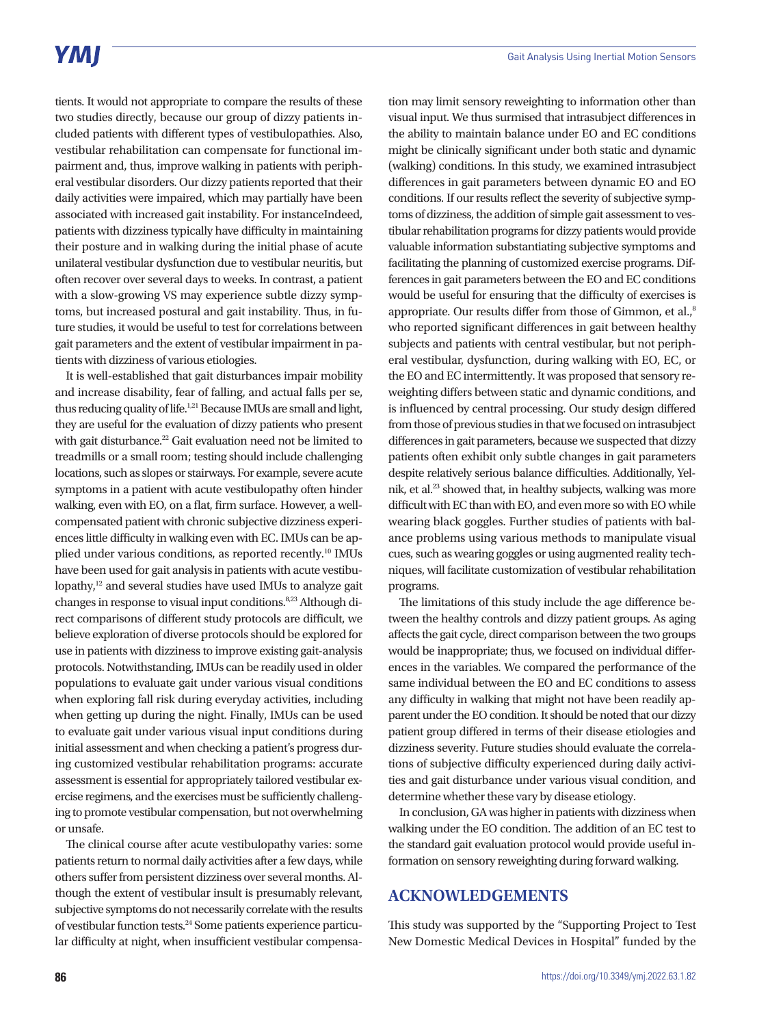## **YMI**

tients. It would not appropriate to compare the results of these two studies directly, because our group of dizzy patients included patients with different types of vestibulopathies. Also, vestibular rehabilitation can compensate for functional impairment and, thus, improve walking in patients with peripheral vestibular disorders. Our dizzy patients reported that their daily activities were impaired, which may partially have been associated with increased gait instability. For instanceIndeed, patients with dizziness typically have difficulty in maintaining their posture and in walking during the initial phase of acute unilateral vestibular dysfunction due to vestibular neuritis, but often recover over several days to weeks. In contrast, a patient with a slow-growing VS may experience subtle dizzy symptoms, but increased postural and gait instability. Thus, in future studies, it would be useful to test for correlations between gait parameters and the extent of vestibular impairment in patients with dizziness of various etiologies.

It is well-established that gait disturbances impair mobility and increase disability, fear of falling, and actual falls per se, thus reducing quality of life.<sup>1,21</sup> Because IMUs are small and light, they are useful for the evaluation of dizzy patients who present with gait disturbance.<sup>22</sup> Gait evaluation need not be limited to treadmills or a small room; testing should include challenging locations, such as slopes or stairways. For example, severe acute symptoms in a patient with acute vestibulopathy often hinder walking, even with EO, on a flat, firm surface. However, a wellcompensated patient with chronic subjective dizziness experiences little difficulty in walking even with EC. IMUs can be applied under various conditions, as reported recently.<sup>10</sup> IMUs have been used for gait analysis in patients with acute vestibulopathy, $12$  and several studies have used IMUs to analyze gait changes in response to visual input conditions.<sup>8,23</sup> Although direct comparisons of different study protocols are difficult, we believe exploration of diverse protocols should be explored for use in patients with dizziness to improve existing gait-analysis protocols. Notwithstanding, IMUs can be readily used in older populations to evaluate gait under various visual conditions when exploring fall risk during everyday activities, including when getting up during the night. Finally, IMUs can be used to evaluate gait under various visual input conditions during initial assessment and when checking a patient's progress during customized vestibular rehabilitation programs: accurate assessment is essential for appropriately tailored vestibular exercise regimens, and the exercises must be sufficiently challenging to promote vestibular compensation, but not overwhelming or unsafe.

The clinical course after acute vestibulopathy varies: some patients return to normal daily activities after a few days, while others suffer from persistent dizziness over several months. Although the extent of vestibular insult is presumably relevant, subjective symptoms do not necessarily correlate with the results of vestibular function tests.24 Some patients experience particular difficulty at night, when insufficient vestibular compensa-

tion may limit sensory reweighting to information other than visual input. We thus surmised that intrasubject differences in the ability to maintain balance under EO and EC conditions might be clinically significant under both static and dynamic (walking) conditions. In this study, we examined intrasubject differences in gait parameters between dynamic EO and EO conditions. If our results reflect the severity of subjective symptoms of dizziness, the addition of simple gait assessment to vestibular rehabilitation programs for dizzy patients would provide valuable information substantiating subjective symptoms and facilitating the planning of customized exercise programs. Differences in gait parameters between the EO and EC conditions would be useful for ensuring that the difficulty of exercises is appropriate. Our results differ from those of Gimmon, et al.,<sup>8</sup> who reported significant differences in gait between healthy subjects and patients with central vestibular, but not peripheral vestibular, dysfunction, during walking with EO, EC, or the EO and EC intermittently. It was proposed that sensory reweighting differs between static and dynamic conditions, and is influenced by central processing. Our study design differed from those of previous studies in that we focused on intrasubject differences in gait parameters, because we suspected that dizzy patients often exhibit only subtle changes in gait parameters despite relatively serious balance difficulties. Additionally, Yelnik, et al.<sup>23</sup> showed that, in healthy subjects, walking was more difficult with EC than with EO, and even more so with EO while wearing black goggles. Further studies of patients with balance problems using various methods to manipulate visual cues, such as wearing goggles or using augmented reality techniques, will facilitate customization of vestibular rehabilitation programs.

The limitations of this study include the age difference between the healthy controls and dizzy patient groups. As aging affects the gait cycle, direct comparison between the two groups would be inappropriate; thus, we focused on individual differences in the variables. We compared the performance of the same individual between the EO and EC conditions to assess any difficulty in walking that might not have been readily apparent under the EO condition. It should be noted that our dizzy patient group differed in terms of their disease etiologies and dizziness severity. Future studies should evaluate the correlations of subjective difficulty experienced during daily activities and gait disturbance under various visual condition, and determine whether these vary by disease etiology.

In conclusion, GA was higher in patients with dizziness when walking under the EO condition. The addition of an EC test to the standard gait evaluation protocol would provide useful information on sensory reweighting during forward walking.

## **ACKNOWLEDGEMENTS**

This study was supported by the "Supporting Project to Test New Domestic Medical Devices in Hospital" funded by the